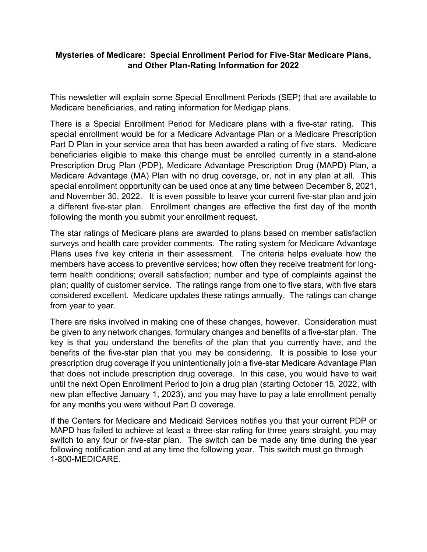## **Mysteries of Medicare: Special Enrollment Period for Five-Star Medicare Plans, and Other Plan-Rating Information for 2022**

This newsletter will explain some Special Enrollment Periods (SEP) that are available to Medicare beneficiaries, and rating information for Medigap plans.

There is a Special Enrollment Period for Medicare plans with a five-star rating. This special enrollment would be for a Medicare Advantage Plan or a Medicare Prescription Part D Plan in your service area that has been awarded a rating of five stars. Medicare beneficiaries eligible to make this change must be enrolled currently in a stand-alone Prescription Drug Plan (PDP), Medicare Advantage Prescription Drug (MAPD) Plan, a Medicare Advantage (MA) Plan with no drug coverage, or, not in any plan at all. This special enrollment opportunity can be used once at any time between December 8, 2021, and November 30, 2022. It is even possible to leave your current five-star plan and join a different five-star plan. Enrollment changes are effective the first day of the month following the month you submit your enrollment request.

The star ratings of Medicare plans are awarded to plans based on member satisfaction surveys and health care provider comments. The rating system for Medicare Advantage Plans uses five key criteria in their assessment. The criteria helps evaluate how the members have access to preventive services; how often they receive treatment for longterm health conditions; overall satisfaction; number and type of complaints against the plan; quality of customer service. The ratings range from one to five stars, with five stars considered excellent. Medicare updates these ratings annually. The ratings can change from year to year.

There are risks involved in making one of these changes, however. Consideration must be given to any network changes, formulary changes and benefits of a five-star plan. The key is that you understand the benefits of the plan that you currently have, and the benefits of the five-star plan that you may be considering. It is possible to lose your prescription drug coverage if you unintentionally join a five-star Medicare Advantage Plan that does not include prescription drug coverage. In this case, you would have to wait until the next Open Enrollment Period to join a drug plan (starting October 15, 2022, with new plan effective January 1, 2023), and you may have to pay a late enrollment penalty for any months you were without Part D coverage.

If the Centers for Medicare and Medicaid Services notifies you that your current PDP or MAPD has failed to achieve at least a three-star rating for three years straight, you may switch to any four or five-star plan. The switch can be made any time during the year following notification and at any time the following year. This switch must go through 1-800-MEDICARE.